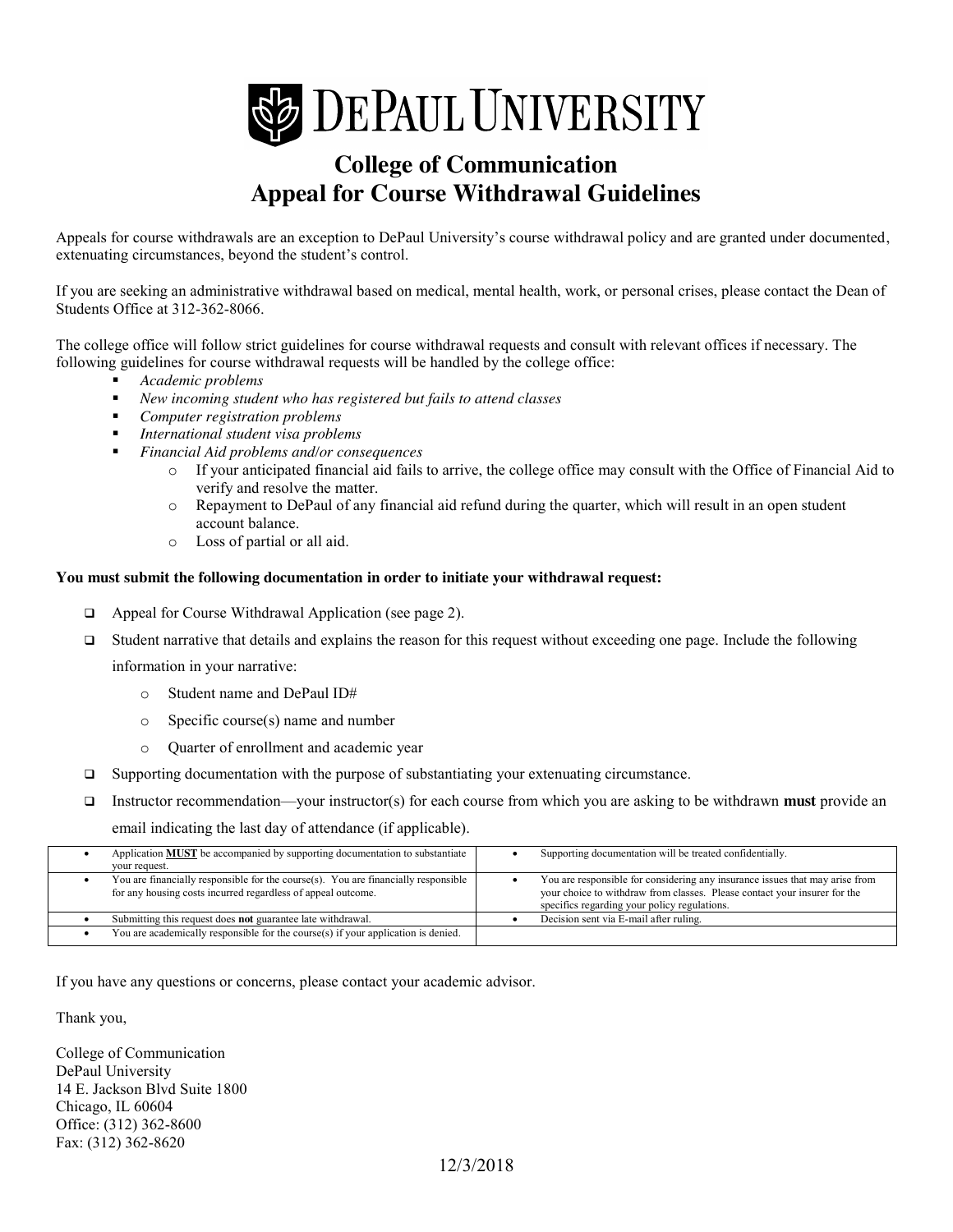

# **College of Communication Appeal for Course Withdrawal Guidelines**

Appeals for course withdrawals are an exception to DePaul University's course withdrawal policy and are granted under documented, extenuating circumstances, beyond the student's control.

If you are seeking an administrative withdrawal based on medical, mental health, work, or personal crises, please contact the Dean of Students Office at 312-362-8066.

The college office will follow strict guidelines for course withdrawal requests and consult with relevant offices if necessary. The following guidelines for course withdrawal requests will be handled by the college office:

- *Academic problems*
- *New incoming student who has registered but fails to attend classes*
- *Computer registration problems*
- *International student visa problems*
- *Financial Aid problems and/or consequences*
	- o If your anticipated financial aid fails to arrive, the college office may consult with the Office of Financial Aid to verify and resolve the matter.
	- o Repayment to DePaul of any financial aid refund during the quarter, which will result in an open student account balance.
	- o Loss of partial or all aid.

### **You must submit the following documentation in order to initiate your withdrawal request:**

- □ Appeal for Course Withdrawal Application (see page 2).
- Student narrative that details and explains the reason for this request without exceeding one page. Include the following

information in your narrative:

- o Student name and DePaul ID#
- o Specific course(s) name and number
- o Quarter of enrollment and academic year
- Supporting documentation with the purpose of substantiating your extenuating circumstance.
- Instructor recommendation—your instructor(s) for each course from which you are asking to be withdrawn **must** provide an email indicating the last day of attendance (if applicable).

| Application <b>MUST</b> be accompanied by supporting documentation to substantiate<br>your request.                                                | Supporting documentation will be treated confidentially.                                                                                                                                                  |
|----------------------------------------------------------------------------------------------------------------------------------------------------|-----------------------------------------------------------------------------------------------------------------------------------------------------------------------------------------------------------|
| You are financially responsible for the course(s). You are financially responsible<br>for any housing costs incurred regardless of appeal outcome. | You are responsible for considering any insurance issues that may arise from<br>your choice to withdraw from classes. Please contact your insurer for the<br>specifics regarding your policy regulations. |
| Submitting this request does not guarantee late withdrawal.                                                                                        | Decision sent via E-mail after ruling.                                                                                                                                                                    |
| You are academically responsible for the course(s) if your application is denied.                                                                  |                                                                                                                                                                                                           |

If you have any questions or concerns, please contact your academic advisor.

Thank you,

College of Communication DePaul University 14 E. Jackson Blvd Suite 1800 Chicago, IL 60604 Office: (312) 362-8600 Fax: (312) 362-8620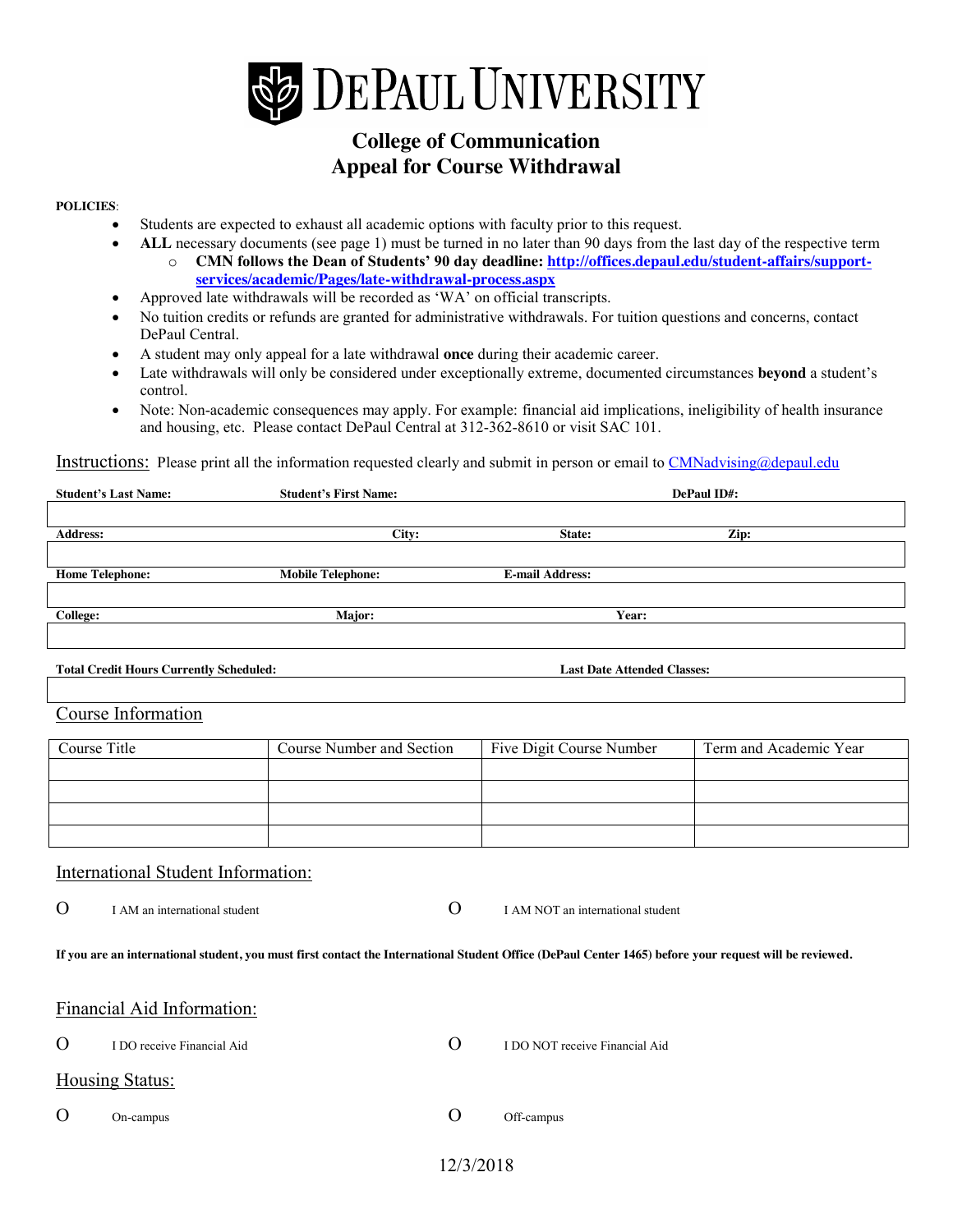

## **College of Communication Appeal for Course Withdrawal**

#### **POLICIES**:

- Students are expected to exhaust all academic options with faculty prior to this request.
- ALL necessary documents (see page 1) must be turned in no later than 90 days from the last day of the respective term
	- o **CMN follows the Dean of Students' 90 day deadline: http://offices.depaul.edu/student-affairs/supportservices/academic/Pages/late-withdrawal-process.aspx**
- Approved late withdrawals will be recorded as 'WA' on official transcripts.
- x No tuition credits or refunds are granted for administrative withdrawals. For tuition questions and concerns, contact DePaul Central.
- x A student may only appeal for a late withdrawal **once** during their academic career.
- Late withdrawals will only be considered under exceptionally extreme, documented circumstances **beyond** a student's control.
- Note: Non-academic consequences may apply. For example: financial aid implications, ineligibility of health insurance and housing, etc. Please contact DePaul Central at 312-362-8610 or visit SAC 101.

Instructions: Please print all the information requested clearly and submit in person or email to CMNadvising@depaul.edu

| <b>Student's Last Name:</b> | <b>Student's First Name:</b> |                        | DePaul ID#: |
|-----------------------------|------------------------------|------------------------|-------------|
|                             |                              |                        |             |
| <b>Address:</b>             | City:                        | State:                 | Zip:        |
|                             |                              |                        |             |
| <b>Home Telephone:</b>      | <b>Mobile Telephone:</b>     | <b>E-mail Address:</b> |             |
|                             |                              |                        |             |
| <b>College:</b>             | Major:                       | Year:                  |             |
|                             |                              |                        |             |

**Total Credit Hours Currently Scheduled: Last Date Attended Classes:**

Course Information

| Course Title | Course Number and Section | Five Digit Course Number | Term and Academic Year |
|--------------|---------------------------|--------------------------|------------------------|
|              |                           |                          |                        |
|              |                           |                          |                        |
|              |                           |                          |                        |
|              |                           |                          |                        |

### International Student Information:

O I AM an international student O I AM NOT an international student

**If you are an international student, you must first contact the International Student Office (DePaul Center 1465) before your request will be reviewed.**

| I DO receive Financial Aid | $\Omega$                                      | I DO NOT receive Financial Aid |
|----------------------------|-----------------------------------------------|--------------------------------|
|                            |                                               |                                |
| On-campus                  | $\lambda$                                     | Off-campus                     |
|                            | Financial Aid Information:<br>Housing Status: |                                |

12/3/2018